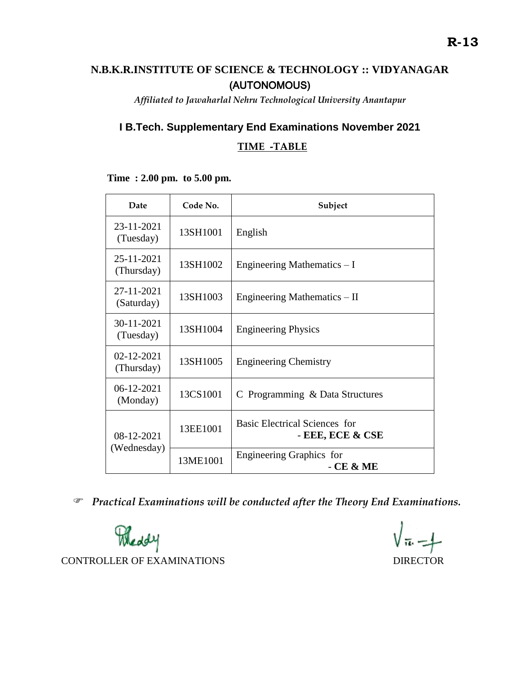# **N.B.K.R.INSTITUTE OF SCIENCE & TECHNOLOGY :: VIDYANAGAR** (AUTONOMOUS)

*Affiliated to Jawaharlal Nehru Technological University Anantapur*

### **I B.Tech. Supplementary End Examinations November 2021**

#### **TIME -TABLE**

 **Time : 2.00 pm. to 5.00 pm.**

| Date                      | Code No. | Subject                                           |
|---------------------------|----------|---------------------------------------------------|
| 23-11-2021<br>(Tuesday)   | 13SH1001 | English                                           |
| 25-11-2021<br>(Thursday)  | 13SH1002 | Engineering Mathematics $-I$                      |
| 27-11-2021<br>(Saturday)  | 13SH1003 | Engineering Mathematics – II                      |
| 30-11-2021<br>(Tuesday)   | 13SH1004 | <b>Engineering Physics</b>                        |
| 02-12-2021<br>(Thursday)  | 13SH1005 | <b>Engineering Chemistry</b>                      |
| 06-12-2021<br>(Monday)    | 13CS1001 | C Programming & Data Structures                   |
| 08-12-2021<br>(Wednesday) | 13EE1001 | Basic Electrical Sciences for<br>- EEE, ECE & CSE |
|                           | 13ME1001 | Engineering Graphics for<br>$-$ CE & ME           |

*Practical Examinations will be conducted after the Theory End Examinations.* 

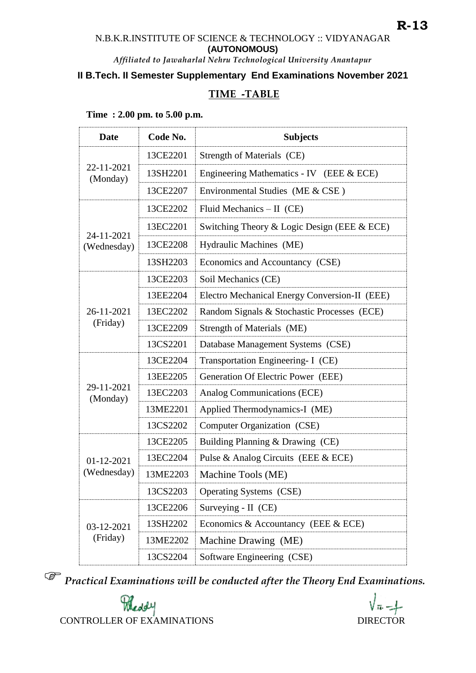### N.B.K.R.INSTITUTE OF SCIENCE & TECHNOLOGY :: VIDYANAGAR **(AUTONOMOUS)**

## *Affiliated to Jawaharlal Nehru Technological University Anantapur*

# **II B.Tech. II Semester Supplementary End Examinations November 2021**

# **TIME -TABLE**

| Time: 2.00 pm. to 5.00 p.m. |  |  |  |  |  |
|-----------------------------|--|--|--|--|--|
|-----------------------------|--|--|--|--|--|

| <b>Date</b>                     | Code No. | <b>Subjects</b>                               |
|---------------------------------|----------|-----------------------------------------------|
| 22-11-2021<br>(Monday)          | 13CE2201 | Strength of Materials (CE)                    |
|                                 | 13SH2201 | Engineering Mathematics - IV (EEE & ECE)      |
|                                 | 13CE2207 | Environmental Studies (ME & CSE)              |
|                                 | 13CE2202 | Fluid Mechanics $-$ II (CE)                   |
|                                 | 13EC2201 | Switching Theory & Logic Design (EEE $&$ ECE) |
| 24-11-2021<br>(Wednesday)       | 13CE2208 | Hydraulic Machines (ME)                       |
|                                 | 13SH2203 | Economics and Accountancy (CSE)               |
|                                 | 13CE2203 | Soil Mechanics (CE)                           |
|                                 | 13EE2204 | Electro Mechanical Energy Conversion-II (EEE) |
| 26-11-2021                      | 13EC2202 | Random Signals & Stochastic Processes (ECE)   |
| (Friday)                        | 13CE2209 | Strength of Materials (ME)                    |
|                                 | 13CS2201 | Database Management Systems (CSE)             |
|                                 | 13CE2204 | Transportation Engineering- I (CE)            |
|                                 | 13EE2205 | Generation Of Electric Power (EEE)            |
| 29-11-2021<br>(Monday)          | 13EC2203 | Analog Communications (ECE)                   |
|                                 | 13ME2201 | Applied Thermodynamics-I (ME)                 |
|                                 | 13CS2202 | Computer Organization (CSE)                   |
|                                 | 13CE2205 | Building Planning & Drawing (CE)              |
| $01 - 12 - 2021$<br>(Wednesday) | 13EC2204 | Pulse & Analog Circuits (EEE & ECE)           |
|                                 | 13ME2203 | Machine Tools (ME)                            |
|                                 | 13CS2203 | <b>Operating Systems</b> (CSE)                |
| 03-12-2021<br>(Friday)          | 13CE2206 | Surveying - II (CE)                           |
|                                 | 13SH2202 | Economics & Accountancy (EEE & ECE)           |
|                                 | 13ME2202 | Machine Drawing (ME)                          |
|                                 | 13CS2204 | Software Engineering (CSE)                    |

*Practical Examinations will be conducted after the Theory End Examinations.* 

Poleddy CONTROLLER OF EXAMINATIONS DIRECTOR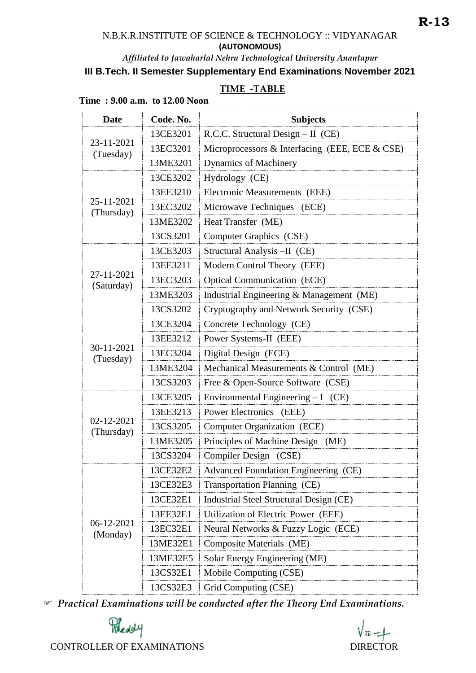### N.B.K.R.INSTITUTE OF SCIENCE & TECHNOLOGY :: VIDYANAGAR **(AUTONOMOUS)**

# *Affiliated to Jawaharlal Nehru Technological University Anantapur* **III B.Tech. II Semester Supplementary End Examinations November 2021**

#### **TIME -TABLE**

## **Time : 9.00 a.m. to 12.00 Noon**

| <b>Date</b>              | Code. No. | <b>Subjects</b>                                |  |
|--------------------------|-----------|------------------------------------------------|--|
| 23-11-2021<br>(Tuesday)  | 13CE3201  | R.C.C. Structural Design $-$ II (CE)           |  |
|                          | 13EC3201  | Microprocessors & Interfacing (EEE, ECE & CSE) |  |
|                          | 13ME3201  | <b>Dynamics of Machinery</b>                   |  |
|                          | 13CE3202  | Hydrology (CE)                                 |  |
|                          | 13EE3210  | Electronic Measurements (EEE)                  |  |
| 25-11-2021<br>(Thursday) | 13EC3202  | Microwave Techniques (ECE)                     |  |
|                          | 13ME3202  | Heat Transfer (ME)                             |  |
|                          | 13CS3201  | Computer Graphics (CSE)                        |  |
|                          | 13CE3203  | Structural Analysis - II (CE)                  |  |
|                          | 13EE3211  | Modern Control Theory (EEE)                    |  |
| 27-11-2021<br>(Saturday) | 13EC3203  | <b>Optical Communication</b> (ECE)             |  |
|                          | 13ME3203  | Industrial Engineering & Management (ME)       |  |
|                          | 13CS3202  | Cryptography and Network Security (CSE)        |  |
|                          | 13CE3204  | Concrete Technology (CE)                       |  |
|                          | 13EE3212  | Power Systems-II (EEE)                         |  |
| 30-11-2021<br>(Tuesday)  | 13EC3204  | Digital Design (ECE)                           |  |
|                          | 13ME3204  | Mechanical Measurements & Control (ME)         |  |
|                          | 13CS3203  | Free & Open-Source Software (CSE)              |  |
|                          | 13CE3205  | Environmental Engineering $-I$ (CE)            |  |
|                          | 13EE3213  | Power Electronics (EEE)                        |  |
| 02-12-2021<br>(Thursday) | 13CS3205  | Computer Organization (ECE)                    |  |
|                          | 13ME3205  | Principles of Machine Design (ME)              |  |
|                          | 13CS3204  | Compiler Design (CSE)                          |  |
|                          | 13CE32E2  | Advanced Foundation Engineering (CE)           |  |
|                          | 13CE32E3  | Transportation Planning (CE)                   |  |
| 06-12-2021<br>(Monday)   | 13CE32E1  | Industrial Steel Structural Design (CE)        |  |
|                          | 13EE32E1  | Utilization of Electric Power (EEE)            |  |
|                          | 13EC32E1  | Neural Networks & Fuzzy Logic (ECE)            |  |
|                          | 13ME32E1  | Composite Materials (ME)                       |  |
|                          | 13ME32E5  | Solar Energy Engineering (ME)                  |  |
|                          | 13CS32E1  | Mobile Computing (CSE)                         |  |
|                          | 13CS32E3  | Grid Computing (CSE)                           |  |

*Practical Examinations will be conducted after the Theory End Examinations.* 



CONTROLLER OF EXAMINATIONS DIRECTOR